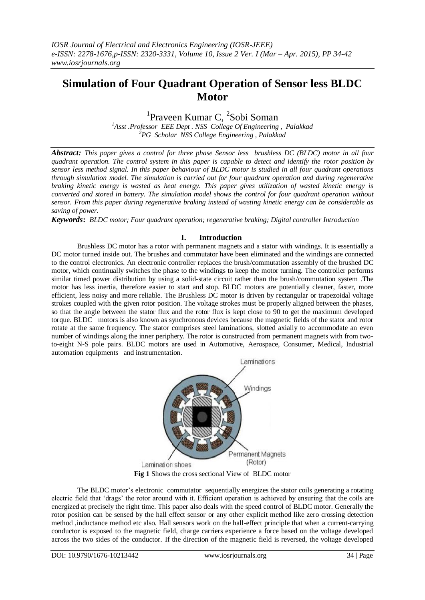# **Simulation of Four Quadrant Operation of Sensor less BLDC Motor**

## <sup>1</sup>Praveen Kumar C, <sup>2</sup>Sobi Soman

*<sup>1</sup>Asst .Professor EEE Dept . NSS College Of Engineering , Palakkad <sup>2</sup>PG Scholar NSS College Engineering , Palakkad*

*Abstract: This paper gives a control for three phase Sensor less brushless DC (BLDC) motor in all four quadrant operation. The control system in this paper is capable to detect and identify the rotor position by sensor less method signal. In this paper behaviour of BLDC motor is studied in all four quadrant operations through simulation model. The simulation is carried out for four quadrant operation and during regenerative braking kinetic energy is wasted as heat energy. This paper gives utilization of wasted kinetic energy is converted and stored in battery. The simulation model shows the control for four quadrant operation without sensor. From this paper during regenerative braking instead of wasting kinetic energy can be considerable as saving of power.*

*Keywords***:** *BLDC motor; Four quadrant operation; regenerative braking; Digital controller Introduction*

## **I. Introduction**

Brushless DC motor has a rotor with permanent magnets and a stator with windings. It is essentially a DC motor turned inside out. The brushes and commutator have been eliminated and the windings are connected to the control electronics. An electronic controller replaces the brush/commutation assembly of the brushed DC motor, which continually switches the phase to the windings to keep the motor turning. The controller performs similar timed power distribution by using a solid-state circuit rather than the brush/commutation system .The motor has less inertia, therefore easier to start and stop. BLDC motors are potentially cleaner, faster, more efficient, less noisy and more reliable. The Brushless DC motor is driven by rectangular or trapezoidal voltage strokes coupled with the given rotor position. The voltage strokes must be properly aligned between the phases, so that the angle between the stator flux and the rotor flux is kept close to 90 to get the maximum developed torque. BLDC motors is also known as synchronous devices because the magnetic fields of the stator and rotor rotate at the same frequency. The stator comprises steel laminations, slotted axially to accommodate an even number of windings along the inner periphery. The rotor is constructed from permanent magnets with from twoto-eight N-S pole pairs. BLDC motors are used in Automotive, Aerospace, Consumer, Medical, Industrial automation equipments and instrumentation.



**Fig 1** Shows the cross sectional View of BLDC motor

The BLDC motor's electronic commutator sequentially energizes the stator coils generating a rotating electric field that 'drags' the rotor around with it. Efficient operation is achieved by ensuring that the coils are energized at precisely the right time. This paper also deals with the speed control of BLDC motor. Generally the rotor position can be sensed by the hall effect sensor or any other explicit method like zero crossing detection method ,inductance method etc also. Hall sensors work on the hall-effect principle that when a current-carrying conductor is exposed to the magnetic field, charge carriers experience a force based on the voltage developed across the two sides of the conductor. If the direction of the magnetic field is reversed, the voltage developed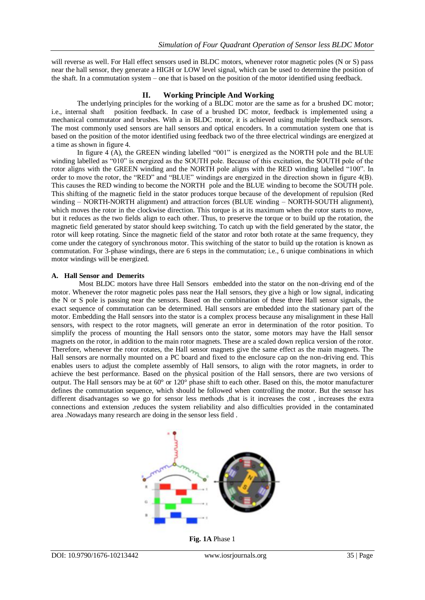will reverse as well. For Hall effect sensors used in BLDC motors, whenever rotor magnetic poles (N or S) pass near the hall sensor, they generate a HIGH or LOW level signal, which can be used to determine the position of the shaft. In a commutation system – one that is based on the position of the motor identified using feedback.

## **II. Working Principle And Working**

The underlying principles for the working of a BLDC motor are the same as for a brushed DC motor; i.e., internal shaft position feedback. In case of a brushed DC motor, feedback is implemented using a mechanical commutator and brushes. With a in BLDC motor, it is achieved using multiple feedback sensors. The most commonly used sensors are hall sensors and optical encoders. In a commutation system one that is based on the position of the motor identified using feedback two of the three electrical windings are energized at a time as shown in figure 4.

In figure 4  $(A)$ , the GREEN winding labelled "001" is energized as the NORTH pole and the BLUE winding labelled as "010" is energized as the SOUTH pole. Because of this excitation, the SOUTH pole of the rotor aligns with the GREEN winding and the NORTH pole aligns with the RED winding labelled "100". In order to move the rotor, the "RED" and "BLUE" windings are energized in the direction shown in figure 4(B). This causes the RED winding to become the NORTH pole and the BLUE winding to become the SOUTH pole. This shifting of the magnetic field in the stator produces torque because of the development of repulsion (Red winding – NORTH-NORTH alignment) and attraction forces (BLUE winding – NORTH-SOUTH alignment), which moves the rotor in the clockwise direction. This torque is at its maximum when the rotor starts to move, but it reduces as the two fields align to each other. Thus, to preserve the torque or to build up the rotation, the magnetic field generated by stator should keep switching. To catch up with the field generated by the stator, the rotor will keep rotating. Since the magnetic field of the stator and rotor both rotate at the same frequency, they come under the category of synchronous motor. This switching of the stator to build up the rotation is known as commutation. For 3-phase windings, there are 6 steps in the commutation; i.e., 6 unique combinations in which motor windings will be energized.

## **A. Hall Sensor and Demerits**

Most BLDC motors have three Hall Sensors embedded into the stator on the non-driving end of the motor. Whenever the rotor magnetic poles pass near the Hall sensors, they give a high or low signal, indicating the N or S pole is passing near the sensors. Based on the combination of these three Hall sensor signals, the exact sequence of commutation can be determined. Hall sensors are embedded into the stationary part of the motor. Embedding the Hall sensors into the stator is a complex process because any misalignment in these Hall sensors, with respect to the rotor magnets, will generate an error in determination of the rotor position. To simplify the process of mounting the Hall sensors onto the stator, some motors may have the Hall sensor magnets on the rotor, in addition to the main rotor magnets. These are a scaled down replica version of the rotor. Therefore, whenever the rotor rotates, the Hall sensor magnets give the same effect as the main magnets. The Hall sensors are normally mounted on a PC board and fixed to the enclosure cap on the non-driving end. This enables users to adjust the complete assembly of Hall sensors, to align with the rotor magnets, in order to achieve the best performance. Based on the physical position of the Hall sensors, there are two versions of output. The Hall sensors may be at 60° or 120° phase shift to each other. Based on this, the motor manufacturer defines the commutation sequence, which should be followed when controlling the motor. But the sensor has different disadvantages so we go for sensor less methods ,that is it increases the cost, increases the extra connections and extension ,reduces the system reliability and also difficulties provided in the contaminated area .Nowadays many research are doing in the sensor less field .



**Fig. 1A** Phase 1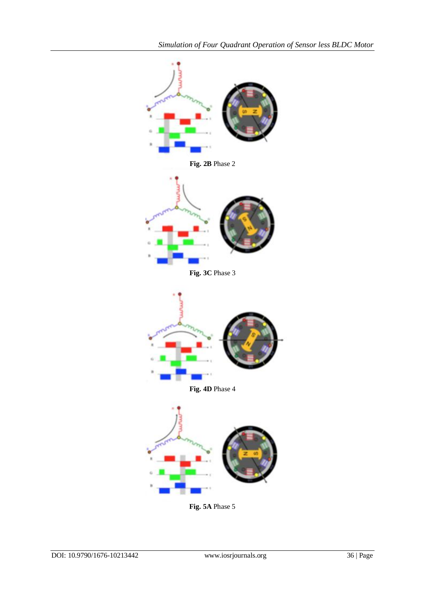

**Fig. 5A** Phase 5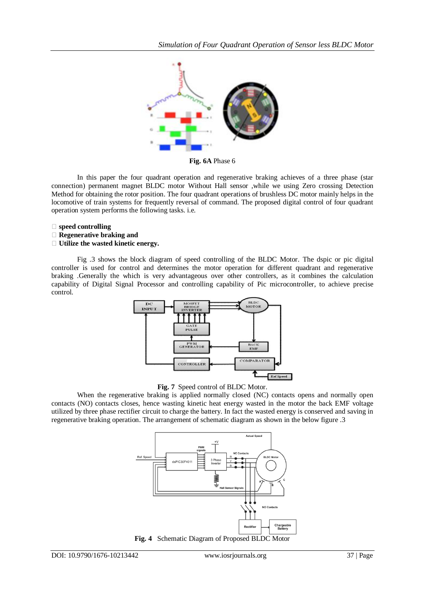

**Fig. 6A** Phase 6

In this paper the four quadrant operation and regenerative braking achieves of a three phase (star connection) permanent magnet BLDC motor Without Hall sensor ,while we using Zero crossing Detection Method for obtaining the rotor position. The four quadrant operations of brushless DC motor mainly helps in the locomotive of train systems for frequently reversal of command. The proposed digital control of four quadrant operation system performs the following tasks. i.e.

- **speed controlling**
- **Regenerative braking and**
- **Utilize the wasted kinetic energy.**

Fig .3 shows the block diagram of speed controlling of the BLDC Motor. The dspic or pic digital controller is used for control and determines the motor operation for different quadrant and regenerative braking .Generally the which is very advantageous over other controllers, as it combines the calculation capability of Digital Signal Processor and controlling capability of Pic microcontroller, to achieve precise control.



**Fig. 7** Speed control of BLDC Motor.

When the regenerative braking is applied normally closed (NC) contacts opens and normally open contacts (NO) contacts closes, hence wasting kinetic heat energy wasted in the motor the back EMF voltage utilized by three phase rectifier circuit to charge the battery. In fact the wasted energy is conserved and saving in regenerative braking operation. The arrangement of schematic diagram as shown in the below figure .3



**Fig. 4** Schematic Diagram of Proposed BLDC Motor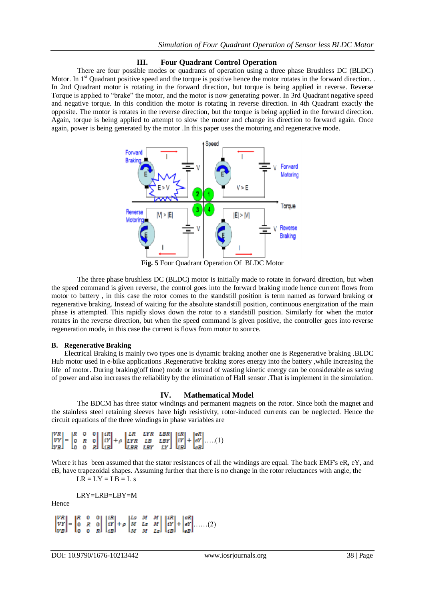#### **III. Four Quadrant Control Operation**

There are four possible modes or quadrants of operation using a three phase Brushless DC (BLDC) Motor. In  $1<sup>st</sup>$  Quadrant positive speed and the torque is positive hence the motor rotates in the forward direction. In 2nd Quadrant motor is rotating in the forward direction, but torque is being applied in reverse. Reverse Torque is applied to "brake" the motor, and the motor is now generating power. In 3rd Quadrant negative speed and negative torque. In this condition the motor is rotating in reverse direction. in 4th Quadrant exactly the opposite. The motor is rotates in the reverse direction, but the torque is being applied in the forward direction. Again, torque is being applied to attempt to slow the motor and change its direction to forward again. Once again, power is being generated by the motor .In this paper uses the motoring and regenerative mode.



**Fig. 5** Four Quadrant Operation Of BLDC Motor

The three phase brushless DC (BLDC) motor is initially made to rotate in forward direction, but when the speed command is given reverse, the control goes into the forward braking mode hence current flows from motor to battery , in this case the rotor comes to the standstill position is term named as forward braking or regenerative braking. Instead of waiting for the absolute standstill position, continuous energization of the main phase is attempted. This rapidly slows down the rotor to a standstill position. Similarly for when the motor rotates in the reverse direction, but when the speed command is given positive, the controller goes into reverse regeneration mode, in this case the current is flows from motor to source.

#### **B. Regenerative Braking**

Electrical Braking is mainly two types one is dynamic braking another one is Regenerative braking .BLDC Hub motor used in e-bike applications .Regenerative braking stores energy into the battery ,while increasing the life of motor. During braking(off time) mode or instead of wasting kinetic energy can be considerable as saving of power and also increases the reliability by the elimination of Hall sensor .That is implement in the simulation.

#### **IV. Mathematical Model**

The BDCM has three stator windings and permanent magnets on the rotor. Since both the magnet and the stainless steel retaining sleeves have high resistivity, rotor-induced currents can be neglected. Hence the circuit equations of the three windings in phase variables are

$$
\begin{bmatrix} VR \\ VY \\ VB \end{bmatrix} = \begin{bmatrix} R & 0 & 0 \\ 0 & R & 0 \\ 0 & 0 & R \end{bmatrix} \begin{bmatrix} iR \\ iY \\ iB \end{bmatrix} + \rho \begin{bmatrix} LR & LYR & LBR \\ LYR & LB & LBY \\ LBR & LBY & LY \end{bmatrix} \begin{bmatrix} iR \\ iY \\ iB \end{bmatrix} + \begin{bmatrix} eR \\ eY \\ eB \end{bmatrix} \dots \dots (1)
$$

Where it has been assumed that the stator resistances of all the windings are equal. The back EMF's eR**,** eY, and eB, have trapezoidal shapes. Assuming further that there is no change in the rotor reluctances with angle, the

 $LR = LY = LB = L s$ 

LRY=LRB=LBY=M

Hence

```
\begin{bmatrix} 0 & 0 \\ R & 0 \\ 0 & R \end{bmatrix} \begin{bmatrix} iR \\ iY \\ iB \end{bmatrix} + \rho \begin{bmatrix} Ls & M & M \\ M & Ls & M \\ M & M & Ls \end{bmatrix} \begin{bmatrix} iR \\ iY \\ iB \end{bmatrix} + \begin{bmatrix} eR \\ eY \\ eB \end{bmatrix} \dots (2)
```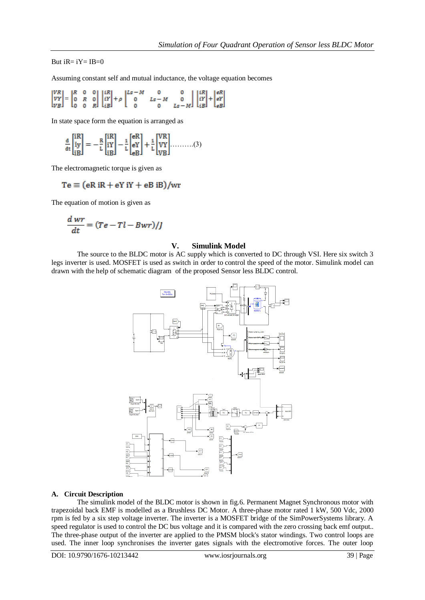But  $iR = iY = IB = 0$ 

Assuming constant self and mutual inductance, the voltage equation becomes

$$
\begin{bmatrix} VR \\ VY \\ VB \end{bmatrix} = \begin{bmatrix} R & 0 & 0 \\ 0 & R & 0 \\ 0 & 0 & R \end{bmatrix} \begin{bmatrix} iR \\ iY \\ iB \end{bmatrix} + \rho \begin{bmatrix} ls - M & 0 & 0 \\ 0 & ls - M & 0 \\ 0 & 0 & ls - M \end{bmatrix} \begin{bmatrix} iR \\ iY \\ iB \end{bmatrix} + \begin{bmatrix} eR \\ eY \\ eB \end{bmatrix}
$$

In state space form the equation is arranged as

$$
\frac{d}{dt} \begin{bmatrix} iR \\ iy \\ iB \end{bmatrix} = -\frac{R}{L} \begin{bmatrix} iR \\ iY \\ iB \end{bmatrix} - \frac{1}{L} \begin{bmatrix} eR \\ eY \\ eB \end{bmatrix} + \frac{1}{L} \begin{bmatrix} VR \\ VY \\ VB \end{bmatrix} \dots \dots \dots (3)
$$

The electromagnetic torque is given as

$$
Te \equiv (eR iR + eY iY + eB iB)/wr
$$

The equation of motion is given as

$$
\frac{dwr}{dt} = (Te - Tl - Bwr)/J
$$

#### **V. Simulink Model**

The source to the BLDC motor is AC supply which is converted to DC through VSI. Here six switch 3 legs inverter is used. MOSFET is used as switch in order to control the speed of the motor. Simulink model can drawn with the help of schematic diagram of the proposed Sensor less BLDC control.



#### **A. Circuit Description**

The simulink model of the BLDC motor is shown in fig.6. Permanent Magnet Synchronous motor with trapezoidal back EMF is modelled as a Brushless DC Motor. A three-phase motor rated 1 kW, 500 Vdc, 2000 rpm is fed by a six step voltage inverter. The inverter is a MOSFET bridge of the SimPowerSystems library. A speed regulator is used to control the DC bus voltage and it is compared with the zero crossing back emf output.. The three-phase output of the inverter are applied to the PMSM block's stator windings. Two control loops are used. The inner loop synchronises the inverter gates signals with the electromotive forces. The outer loop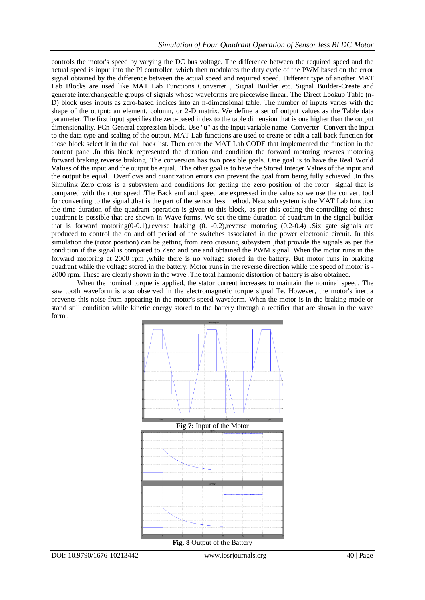controls the motor's speed by varying the DC bus voltage. The difference between the required speed and the actual speed is input into the PI controller, which then modulates the duty cycle of the PWM based on the error signal obtained by the difference between the actual speed and required speed. Different type of another MAT Lab Blocks are used like MAT Lab Functions Converter , Signal Builder etc. Signal Builder-Create and generate interchangeable groups of signals whose waveforms are piecewise linear. The Direct Lookup Table (n-D) block uses inputs as zero-based indices into an n-dimensional table. The number of inputs varies with the shape of the output: an element, column, or 2-D matrix. We define a set of output values as the Table data parameter. The first input specifies the zero-based index to the table dimension that is one higher than the output dimensionality. FCn-General expression block. Use "u" as the input variable name. Converter- Convert the input to the data type and scaling of the output. MAT Lab functions are used to create or edit a call back function for those block select it in the call back list. Then enter the MAT Lab CODE that implemented the function in the content pane .In this block represented the duration and condition the forward motoring reveres motoring forward braking reverse braking. The conversion has two possible goals. One goal is to have the Real World Values of the input and the output be equal. The other goal is to have the Stored Integer Values of the input and the output be equal. Overflows and quantization errors can prevent the goal from being fully achieved .In this Simulink Zero cross is a subsystem and conditions for getting the zero position of the rotor signal that is compared with the rotor speed .The Back emf and speed are expressed in the value so we use the convert tool for converting to the signal ,that is the part of the sensor less method. Next sub system is the MAT Lab function the time duration of the quadrant operation is given to this block, as per this coding the controlling of these quadrant is possible that are shown in Wave forms. We set the time duration of quadrant in the signal builder that is forward motoring(0-0.1),reverse braking (0.1-0.2),reverse motoring (0.2-0.4) .Six gate signals are produced to control the on and off period of the switches associated in the power electronic circuit. In this simulation the (rotor position) can be getting from zero crossing subsystem ,that provide the signals as per the condition if the signal is compared to Zero and one and obtained the PWM signal. When the motor runs in the forward motoring at 2000 rpm ,while there is no voltage stored in the battery. But motor runs in braking quadrant while the voltage stored in the battery. Motor runs in the reverse direction while the speed of motor is - 2000 rpm. These are clearly shown in the wave .The total harmonic distortion of battery is also obtained.

When the nominal torque is applied, the stator current increases to maintain the nominal speed. The saw tooth waveform is also observed in the electromagnetic torque signal Te. However, the motor's inertia prevents this noise from appearing in the motor's speed waveform. When the motor is in the braking mode or stand still condition while kinetic energy stored to the battery through a rectifier that are shown in the wave form .

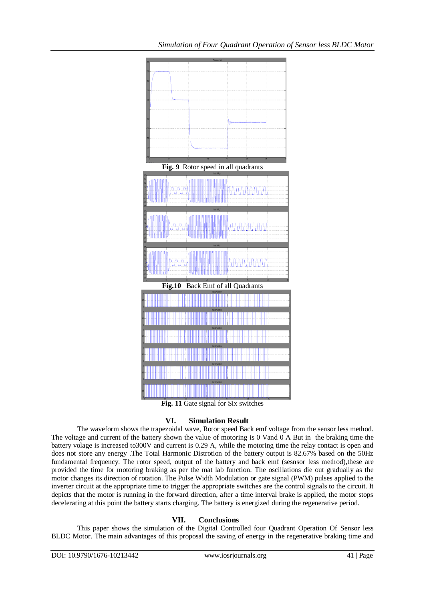

**Fig. 11** Gate signal for Six switches

## **VI. Simulation Result**

The waveform shows the trapezoidal wave, Rotor speed Back emf voltage from the sensor less method. The voltage and current of the battery shown the value of motoring is 0 Vand 0 A But in the braking time the battery volage is increased to300V and current is 0.29 A, while the motoring time the relay contact is open and does not store any energy .The Total Harmonic Distrotion of the battery output is 82.67% based on the 50Hz fundamental frequency. The rotor speed, output of the battery and back emf (sesnsor less method), these are provided the time for motoring braking as per the mat lab function. The oscillations die out gradually as the motor changes its direction of rotation. The Pulse Width Modulation or gate signal (PWM) pulses applied to the inverter circuit at the appropriate time to trigger the appropriate switches are the control signals to the circuit. It depicts that the motor is running in the forward direction, after a time interval brake is applied, the motor stops decelerating at this point the battery starts charging. The battery is energized during the regenerative period.

## **VII. Conclusions**

This paper shows the simulation of the Digital Controlled four Quadrant Operation Of Sensor less BLDC Motor. The main advantages of this proposal the saving of energy in the regenerative braking time and